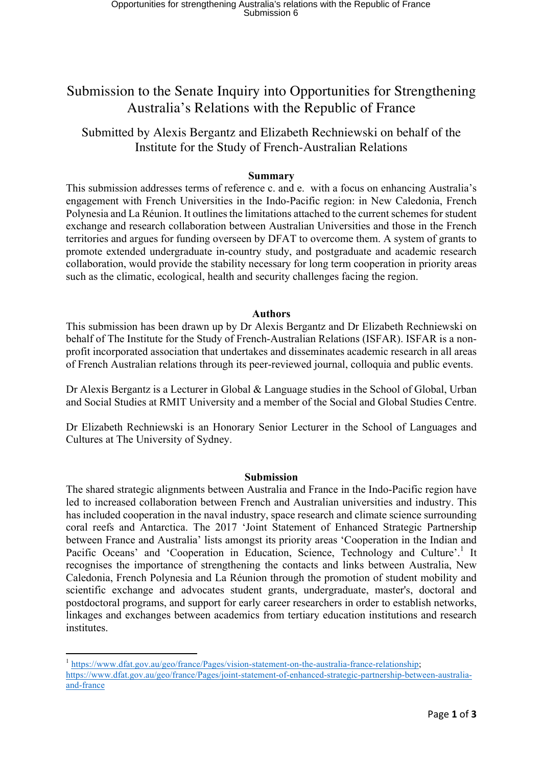# Submission to the Senate Inquiry into Opportunities for Strengthening Australia's Relations with the Republic of France

# Submitted by Alexis Bergantz and Elizabeth Rechniewski on behalf of the Institute for the Study of French-Australian Relations

## **Summary**

This submission addresses terms of reference c. and e. with a focus on enhancing Australia's engagement with French Universities in the Indo-Pacific region: in New Caledonia, French Polynesia and La Réunion. It outlines the limitations attached to the current schemes for student exchange and research collaboration between Australian Universities and those in the French territories and argues for funding overseen by DFAT to overcome them. A system of grants to promote extended undergraduate in-country study, and postgraduate and academic research collaboration, would provide the stability necessary for long term cooperation in priority areas such as the climatic, ecological, health and security challenges facing the region.

### **Authors**

This submission has been drawn up by Dr Alexis Bergantz and Dr Elizabeth Rechniewski on behalf of The Institute for the Study of French-Australian Relations (ISFAR). ISFAR is a nonprofit incorporated association that undertakes and disseminates academic research in all areas of French Australian relations through its peer-reviewed journal, colloquia and public events.

Dr Alexis Bergantz is a Lecturer in Global & Language studies in the School of Global, Urban and Social Studies at RMIT University and a member of the Social and Global Studies Centre.

Dr Elizabeth Rechniewski is an Honorary Senior Lecturer in the School of Languages and Cultures at The University of Sydney.

### **Submission**

The shared strategic alignments between Australia and France in the Indo-Pacific region have led to increased collaboration between French and Australian universities and industry. This has included cooperation in the naval industry, space research and climate science surrounding coral reefs and Antarctica. The 2017 'Joint Statement of Enhanced Strategic Partnership between France and Australia' lists amongst its priority areas 'Cooperation in the Indian and Pacific Oceans' and 'Cooperation in Education, Science, Technology and Culture'.<sup>1</sup> It recognises the importance of strengthening the contacts and links between Australia, New Caledonia, French Polynesia and La Réunion through the promotion of student mobility and scientific exchange and advocates student grants, undergraduate, master's, doctoral and postdoctoral programs, and support for early career researchers in order to establish networks, linkages and exchanges between academics from tertiary education institutions and research institutes.

 <sup>1</sup> https://www.dfat.gov.au/geo/france/Pages/vision-statement-on-the-australia-france-relationship; https://www.dfat.gov.au/geo/france/Pages/joint-statement-of-enhanced-strategic-partnership-between-australiaand-france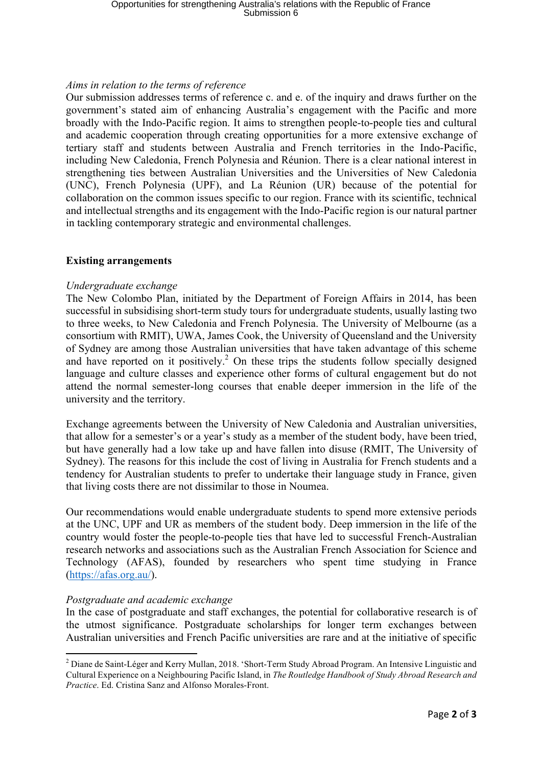# *Aims in relation to the terms of reference*

Our submission addresses terms of reference c. and e. of the inquiry and draws further on the government's stated aim of enhancing Australia's engagement with the Pacific and more broadly with the Indo-Pacific region. It aims to strengthen people-to-people ties and cultural and academic cooperation through creating opportunities for a more extensive exchange of tertiary staff and students between Australia and French territories in the Indo-Pacific, including New Caledonia, French Polynesia and Réunion. There is a clear national interest in strengthening ties between Australian Universities and the Universities of New Caledonia (UNC), French Polynesia (UPF), and La Réunion (UR) because of the potential for collaboration on the common issues specific to our region. France with its scientific, technical and intellectual strengths and its engagement with the Indo-Pacific region is our natural partner in tackling contemporary strategic and environmental challenges.

# **Existing arrangements**

### *Undergraduate exchange*

The New Colombo Plan, initiated by the Department of Foreign Affairs in 2014, has been successful in subsidising short-term study tours for undergraduate students, usually lasting two to three weeks, to New Caledonia and French Polynesia. The University of Melbourne (as a consortium with RMIT), UWA, James Cook, the University of Queensland and the University of Sydney are among those Australian universities that have taken advantage of this scheme and have reported on it positively.<sup>2</sup> On these trips the students follow specially designed language and culture classes and experience other forms of cultural engagement but do not attend the normal semester-long courses that enable deeper immersion in the life of the university and the territory.

Exchange agreements between the University of New Caledonia and Australian universities, that allow for a semester's or a year's study as a member of the student body, have been tried, but have generally had a low take up and have fallen into disuse (RMIT, The University of Sydney). The reasons for this include the cost of living in Australia for French students and a tendency for Australian students to prefer to undertake their language study in France, given that living costs there are not dissimilar to those in Noumea.

Our recommendations would enable undergraduate students to spend more extensive periods at the UNC, UPF and UR as members of the student body. Deep immersion in the life of the country would foster the people-to-people ties that have led to successful French-Australian research networks and associations such as the Australian French Association for Science and Technology (AFAS), founded by researchers who spent time studying in France (https://afas.org.au/).

### *Postgraduate and academic exchange*

In the case of postgraduate and staff exchanges, the potential for collaborative research is of the utmost significance. Postgraduate scholarships for longer term exchanges between Australian universities and French Pacific universities are rare and at the initiative of specific

 <sup>2</sup> Diane de Saint-Léger and Kerry Mullan, 2018. 'Short-Term Study Abroad Program. An Intensive Linguistic and Cultural Experience on a Neighbouring Pacific Island, in *The Routledge Handbook of Study Abroad Research and Practice*. Ed. Cristina Sanz and Alfonso Morales-Front.